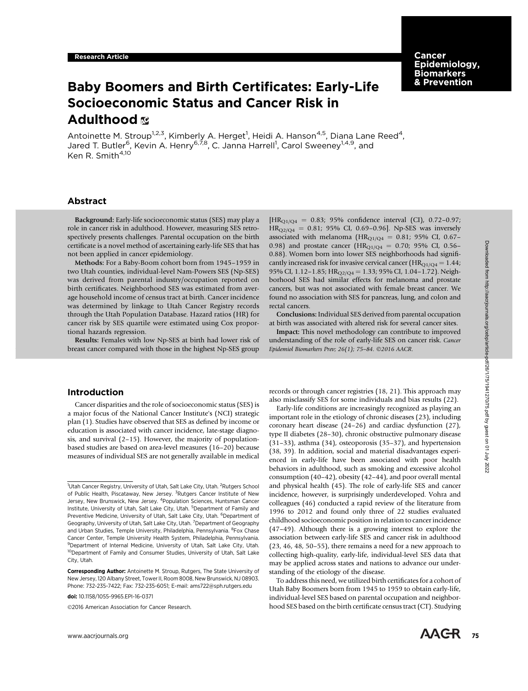**Cancer** Epidemiology, **Biomarkers** & Prevention

# Baby Boomers and Birth Certificates: Early-Life Socioeconomic Status and Cancer Risk in Adulthood **R**

Antoinette M. Stroup<sup>1,2,3</sup>, Kimberly A. Herget<sup>1</sup>, Heidi A. Hanson<sup>4,5</sup>, Diana Lane Reed<sup>4</sup>, Jared T. Butler<sup>6</sup>, Kevin A. Henry<sup>6,7,8</sup>, C. Janna Harrell<sup>1</sup>, Carol Sweeney<sup>1,4,9</sup>, and Ken R. Smith<sup>4,10</sup>

## Abstract

Background: Early-life socioeconomic status (SES) may play a role in cancer risk in adulthood. However, measuring SES retrospectively presents challenges. Parental occupation on the birth certificate is a novel method of ascertaining early-life SES that has not been applied in cancer epidemiology.

Methods: For a Baby-Boom cohort born from 1945–1959 in two Utah counties, individual-level Nam-Powers SES (Np-SES) was derived from parental industry/occupation reported on birth certificates. Neighborhood SES was estimated from average household income of census tract at birth. Cancer incidence was determined by linkage to Utah Cancer Registry records through the Utah Population Database. Hazard ratios (HR) for cancer risk by SES quartile were estimated using Cox proportional hazards regression.

Results: Females with low Np-SES at birth had lower risk of breast cancer compared with those in the highest Np-SES group

Introduction

Cancer disparities and the role of socioeconomic status (SES) is a major focus of the National Cancer Institute's (NCI) strategic plan (1). Studies have observed that SES as defined by income or education is associated with cancer incidence, late-stage diagnosis, and survival (2–15). However, the majority of populationbased studies are based on area-level measures (16–20) because measures of individual SES are not generally available in medical

2016 American Association for Cancer Research.

 $[HR_{Q1/Q4} = 0.83; 95\%$  confidence interval (CI), 0.72-0.97;  $HR_{Q2/Q4} = 0.81$ ; 95% CI, 0.69-0.96]. Np-SES was inversely associated with melanoma ( $HR_{Q1/Q4} = 0.81$ ; 95% CI, 0.67-0.98) and prostate cancer ( $HR_{Q1/Q4} = 0.70$ ; 95% CI, 0.56– 0.88). Women born into lower SES neighborhoods had significantly increased risk for invasive cervical cancer ( $HR_{Q1/Q4} = 1.44$ ; 95% CI, 1.12-1.85; HR<sub>Q2/Q4</sub> = 1.33; 95% CI, 1.04-1.72). Neighborhood SES had similar effects for melanoma and prostate cancers, but was not associated with female breast cancer. We found no association with SES for pancreas, lung, and colon and rectal cancers.

Conclusions: Individual SES derived from parental occupation at birth was associated with altered risk for several cancer sites.

Impact: This novel methodology can contribute to improved understanding of the role of early-life SES on cancer risk. Cancer Epidemiol Biomarkers Prev; 26(1); 75-84. ©2016 AACR.

records or through cancer registries (18, 21). This approach may also misclassify SES for some individuals and bias results (22).

Early-life conditions are increasingly recognized as playing an important role in the etiology of chronic diseases (23), including coronary heart disease (24–26) and cardiac dysfunction (27), type II diabetes (28–30), chronic obstructive pulmonary disease (31–33), asthma (34), osteoporosis (35–37), and hypertension (38, 39). In addition, social and material disadvantages experienced in early-life have been associated with poor health behaviors in adulthood, such as smoking and excessive alcohol consumption (40–42), obesity (42–44), and poor overall mental and physical health (45). The role of early-life SES and cancer incidence, however, is surprisingly underdeveloped. Vohra and colleagues (46) conducted a rapid review of the literature from 1996 to 2012 and found only three of 22 studies evaluated childhood socioeconomic position in relation to cancer incidence (47–49). Although there is a growing interest to explore the association between early-life SES and cancer risk in adulthood (23, 46, 48, 50–55), there remains a need for a new approach to collecting high-quality, early-life, individual-level SES data that may be applied across states and nations to advance our understanding of the etiology of the disease.

To address this need, we utilized birth certificates for a cohort of Utah Baby Boomers born from 1945 to 1959 to obtain early-life, individual-level SES based on parental occupation and neighborhood SES based on the birth certificate census tract (CT). Studying

<sup>&</sup>lt;sup>1</sup>Utah Cancer Registry, University of Utah, Salt Lake City, Utah. <sup>2</sup>Rutgers School of Public Health, Piscataway, New Jersey. <sup>3</sup>Rutgers Cancer Institute of New Jersey, New Brunswick, New Jersey. <sup>4</sup> Population Sciences, Huntsman Cancer Institute, University of Utah, Salt Lake City, Utah. <sup>5</sup>Department of Family and Preventive Medicine, University of Utah, Salt Lake City, Utah. <sup>6</sup>Department of Geography, University of Utah, Salt Lake City, Utah. <sup>7</sup> Department of Geography and Urban Studies, Temple University, Philadelphia, Pennsylvania. <sup>8</sup>Fox Chase Cancer Center, Temple University Health System, Philadelphia, Pennsylvania. <sup>9</sup>Department of Internal Medicine, University of Utah, Salt Lake City, Utah. <sup>10</sup>Department of Family and Consumer Studies, University of Utah, Salt Lake City, Utah.

Corresponding Author: Antoinette M. Stroup, Rutgers, The State University of New Jersey, 120 Albany Street, Tower II, Room 8008, New Brunswick, NJ 08903. Phone: 732-235-7422; Fax: 732-235-6051; E-mail: ams722@sph.rutgers.edu

doi: 10.1158/1055-9965.EPI-16-0371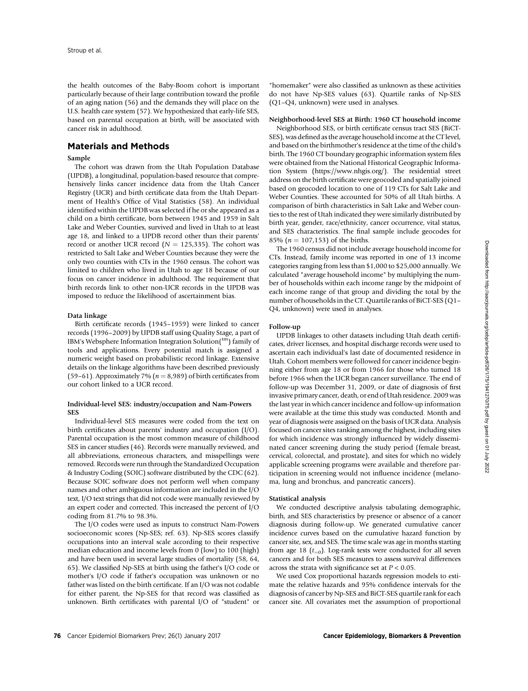the health outcomes of the Baby-Boom cohort is important particularly because of their large contribution toward the profile of an aging nation (56) and the demands they will place on the U.S. health care system (57). We hypothesized that early-life SES, based on parental occupation at birth, will be associated with cancer risk in adulthood.

## Materials and Methods

#### Sample

The cohort was drawn from the Utah Population Database (UPDB), a longitudinal, population-based resource that comprehensively links cancer incidence data from the Utah Cancer Registry (UCR) and birth certificate data from the Utah Department of Health's Office of Vital Statistics (58). An individual identified within the UPDB was selected if he or she appeared as a child on a birth certificate, born between 1945 and 1959 in Salt Lake and Weber Counties, survived and lived in Utah to at least age 18, and linked to a UPDB record other than their parents' record or another UCR record ( $N = 125,335$ ). The cohort was restricted to Salt Lake and Weber Counties because they were the only two counties with CTs in the 1960 census. The cohort was limited to children who lived in Utah to age 18 because of our focus on cancer incidence in adulthood. The requirement that birth records link to other non-UCR records in the UPDB was imposed to reduce the likelihood of ascertainment bias.

#### Data linkage

Birth certificate records (1945–1959) were linked to cancer records (1996–2009) by UPDB staff using Quality Stage, a part of IBM's Websphere Information Integration Solution( $\rm ^{tm}$ ) family of tools and applications. Every potential match is assigned a numeric weight based on probabilistic record linkage. Extensive details on the linkage algorithms have been described previously (59–61). Approximately 7% ( $n = 8,989$ ) of birth certificates from our cohort linked to a UCR record.

## Individual-level SES: industry/occupation and Nam-Powers SES

Individual-level SES measures were coded from the text on birth certificates about parents' industry and occupation (I/O). Parental occupation is the most common measure of childhood SES in cancer studies (46). Records were manually reviewed, and all abbreviations, erroneous characters, and misspellings were removed. Records were run through the Standardized Occupation & Industry Coding (SOIC) software distributed by the CDC (62). Because SOIC software does not perform well when company names and other ambiguous information are included in the I/O text, I/O text strings that did not code were manually reviewed by an expert coder and corrected. This increased the percent of I/O coding from 81.7% to 98.3%.

The I/O codes were used as inputs to construct Nam-Powers socioeconomic scores (Np-SES; ref. 63). Np-SES scores classify occupations into an interval scale according to their respective median education and income levels from 0 (low) to 100 (high) and have been used in several large studies of mortality (58, 64, 65). We classified Np-SES at birth using the father's I/O code or mother's I/O code if father's occupation was unknown or no father was listed on the birth certificate. If an I/O was not codable for either parent, the Np-SES for that record was classified as unknown. Birth certificates with parental I/O of "student" or "homemaker" were also classified as unknown as these activities do not have Np-SES values (63). Quartile ranks of Np-SES (Q1–Q4, unknown) were used in analyses.

## Neighborhood-level SES at Birth: 1960 CT household income

Neighborhood SES, or birth certificate census tract SES (BiCT-SES), was defined as the average household income at the CT level, and based on the birthmother's residence at the time of the child's birth. The 1960 CT boundary geographic information system files were obtained from the National Historical Geographic Information System (https://www.nhgis.org/). The residential street address on the birth certificate were geocoded and spatially joined based on geocoded location to one of 119 CTs for Salt Lake and Weber Counties. These accounted for 50% of all Utah births. A comparison of birth characteristics in Salt Lake and Weber counties to the rest of Utah indicated they were similarly distributed by birth year, gender, race/ethnicity, cancer occurrence, vital status, and SES characteristics. The final sample include geocodes for 85% ( $n = 107,153$ ) of the births.

The 1960 census did not include average household income for CTs. Instead, family income was reported in one of 13 income categories ranging from less than \$1,000 to \$25,000 annually. We calculated "average household income" by multiplying the number of households within each income range by the midpoint of each income range of that group and dividing the total by the number of households in the CT. Quartile ranks of BiCT-SES (Q1– Q4, unknown) were used in analyses.

#### Follow-up

UPDB linkages to other datasets including Utah death certificates, driver licenses, and hospital discharge records were used to ascertain each individual's last date of documented residence in Utah. Cohort members were followed for cancer incidence beginning either from age 18 or from 1966 for those who turned 18 before 1966 when the UCR began cancer surveillance. The end of follow-up was December 31, 2009, or date of diagnosis of first invasive primary cancer, death, or end of Utah residence. 2009 was the last year in which cancer incidence and follow-up information were available at the time this study was conducted. Month and year of diagnosis were assigned on the basis of UCR data. Analysis focused on cancer sites ranking among the highest, including sites for which incidence was strongly influenced by widely disseminated cancer screening during the study period (female breast, cervical, colorectal, and prostate), and sites for which no widely applicable screening programs were available and therefore participation in screening would not influence incidence (melanoma, lung and bronchus, and pancreatic cancers).

#### Statistical analysis

We conducted descriptive analysis tabulating demographic, birth, and SES characteristics by presence or absence of a cancer diagnosis during follow-up. We generated cumulative cancer incidence curves based on the cumulative hazard function by cancer site, sex, and SES. The time scale was age in months starting from age 18 ( $t_{=0}$ ). Log-rank tests were conducted for all seven cancers and for both SES measures to assess survival differences across the strata with significance set at  $P < 0.05$ .

We used Cox proportional hazards regression models to estimate the relative hazards and 95% confidence intervals for the diagnosis of cancer by Np-SES and BiCT-SES quartile rank for each cancer site. All covariates met the assumption of proportional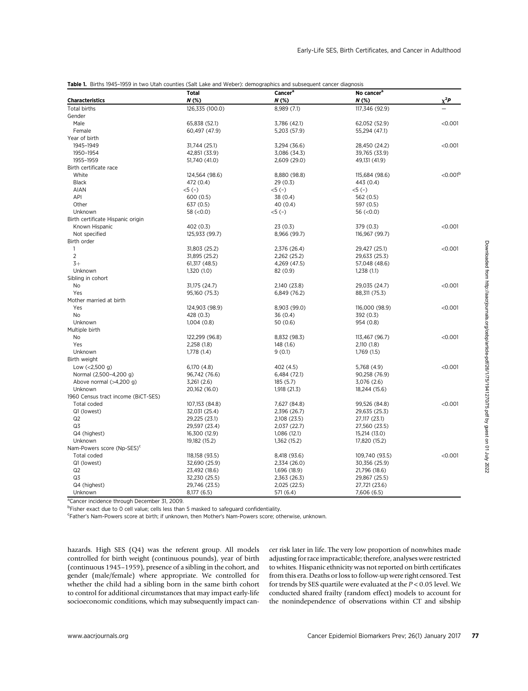|  |  |  |  |  | Table 1. Births 1945-1959 in two Utah counties (Salt Lake and Weber): demographics and subsequent cancer diagnosis |  |
|--|--|--|--|--|--------------------------------------------------------------------------------------------------------------------|--|
|--|--|--|--|--|--------------------------------------------------------------------------------------------------------------------|--|

| <b>Characteristics</b>                 | <b>Total</b><br>$N$ (%) | <b>Cancer<sup>a</sup></b><br>N(%) | No cancer <sup>a</sup><br>$N$ (%) | $\chi^2$ P           |
|----------------------------------------|-------------------------|-----------------------------------|-----------------------------------|----------------------|
| Total births                           | 126,335 (100.0)         | 8,989 (7.1)                       | 117,346 (92.9)                    |                      |
| Gender                                 |                         |                                   |                                   |                      |
| Male                                   | 65,838 (52.1)           | 3,786 (42.1)                      | 62,052 (52.9)                     | < 0.001              |
| Female                                 | 60,497 (47.9)           | 5,203 (57.9)                      | 55,294 (47.1)                     |                      |
| Year of birth                          |                         |                                   |                                   |                      |
| 1945-1949                              | 31,744 (25.1)           | 3,294 (36.6)                      | 28,450 (24.2)                     | < 0.001              |
| 1950-1954                              | 42,851 (33.9)           | 3,086 (34.3)                      | 39,765 (33.9)                     |                      |
| 1955-1959                              | 51,740 (41.0)           | 2,609 (29.0)                      | 49,131 (41.9)                     |                      |
| Birth certificate race                 |                         |                                   |                                   |                      |
| White                                  | 124,564 (98.6)          | 8,880 (98.8)                      | 115,684 (98.6)                    | $<$ 0.001 $^{\rm b}$ |
| <b>Black</b>                           | 472 (0.4)               | 29(0.3)                           | 443 (0.4)                         |                      |
| <b>AIAN</b>                            | $5(-)$                  | $<5$ (-)                          | $<5$ (-)                          |                      |
| API                                    | 600 (0.5)               | 38 (0.4)                          | 562 (0.5)                         |                      |
| Other                                  | 637 (0.5)               | 40(0.4)                           | 597 (0.5)                         |                      |
| Unknown                                | 58 $(<0.0)$             | $5(-)$                            | 56 $(< 0.0)$                      |                      |
| Birth certificate Hispanic origin      |                         |                                   |                                   |                      |
| Known Hispanic                         | 402 (0.3)               | 23(0.3)                           | 379 (0.3)                         | < 0.001              |
| Not specified                          | 125,933 (99.7)          | 8,966 (99.7)                      | 116,967 (99.7)                    |                      |
| Birth order                            |                         |                                   |                                   |                      |
| $\mathbf{1}$                           | 31,803 (25.2)           | 2,376 (26.4)                      | 29,427 (25.1)                     | < 0.001              |
| $\overline{2}$                         | 31,895 (25.2)           | 2,262 (25.2)                      | 29,633 (25.3)                     |                      |
| $3+$                                   | 61,317 (48.5)           | 4,269 (47.5)                      | 57,048 (48.6)                     |                      |
| Unknown                                | 1,320(1.0)              | 82 (0.9)                          | 1,238(1.1)                        |                      |
| Sibling in cohort                      |                         |                                   |                                   |                      |
| <b>No</b>                              | 31,175 (24.7)           | 2,140 (23.8)                      | 29,035 (24.7)                     | < 0.001              |
| Yes                                    | 95,160 (75.3)           | 6,849 (76.2)                      | 88,311 (75.3)                     |                      |
| Mother married at birth                |                         |                                   |                                   |                      |
| Yes                                    | 124,903 (98.9)          | 8,903 (99.0)                      | 116,000 (98.9)                    | < 0.001              |
| <b>No</b>                              | 428 (0.3)               | 36 (0.4)                          | 392 (0.3)                         |                      |
| Unknown                                | 1,004(0.8)              | 50(0.6)                           | 954 (0.8)                         |                      |
| Multiple birth                         |                         |                                   |                                   |                      |
| <b>No</b>                              | 122,299 (96.8)          | 8,832 (98.3)                      | 113,467 (96.7)                    | < 0.001              |
| Yes                                    | 2,258 (1.8)             | 148 (1.6)                         | 2,110(1.8)                        |                      |
| Unknown                                | 1,778 (1.4)             | 9(0.1)                            | 1,769 (1.5)                       |                      |
| Birth weight                           |                         |                                   |                                   |                      |
| Low $(<2,500 g)$                       | 6,170(4.8)              | 402 (4.5)                         | 5,768 (4.9)                       | < 0.001              |
| Normal (2,500-4,200 g)                 | 96,742 (76.6)           | 6,484 (72.1)                      | 90,258 (76.9)                     |                      |
| Above normal $(>4,200 g)$              | 3,261(2.6)              | 185 (5.7)                         | 3,076 (2.6)                       |                      |
| Unknown                                | 20,162 (16.0)           | 1,918 (21.3)                      | 18,244 (15.6)                     |                      |
| 1960 Census tract income (BiCT-SES)    |                         |                                   |                                   |                      |
| <b>Total coded</b>                     | 107,153 (84.8)          | 7,627 (84.8)                      | 99,526 (84.8)                     | < 0.001              |
| Q1 (lowest)                            | 32,031 (25.4)           | 2,396 (26.7)                      | 29,635 (25.3)                     |                      |
| Q2                                     | 29,225 (23.1)           | 2,108 (23.5)                      | 27,117 (23.1)                     |                      |
| Q3                                     | 29,597 (23.4)           | 2,037 (22.7)                      | 27,560 (23.5)                     |                      |
| Q4 (highest)                           | 16,300 (12.9)           | 1,086 (12.1)                      | 15,214 (13.0)                     |                      |
| Unknown                                | 19,182 (15.2)           | 1,362 (15.2)                      | 17,820 (15.2)                     |                      |
| Nam-Powers score (Np-SES) <sup>c</sup> |                         |                                   |                                   |                      |
| Total coded                            | 118,158 (93.5)          | 8,418 (93.6)                      | 109,740 (93.5)                    | < 0.001              |
| Q1 (lowest)                            | 32,690 (25.9)           | 2,334 (26.0)                      | 30,356 (25.9)                     |                      |
| Q2                                     | 23,492 (18.6)           | 1,696 (18.9)                      | 21,796 (18.6)                     |                      |
| Q3                                     | 32,230 (25.5)           | 2,363 (26.3)                      | 29,867 (25.5)                     |                      |
| Q4 (highest)                           | 29,746 (23.5)           | 2,025 (22.5)                      | 27,721 (23.6)                     |                      |
| Unknown                                | 8,177 (6.5)             | 571 (6.4)                         | 7,606 (6.5)                       |                      |

Cancer incidence through December 31, 2009.

<sup>b</sup>Fisher exact due to 0 cell value; cells less than 5 masked to safeguard confidentiality.

c Father's Nam-Powers score at birth; if unknown, then Mother's Nam-Powers score; otherwise, unknown.

hazards. High SES (Q4) was the referent group. All models controlled for birth weight (continuous pounds), year of birth (continuous 1945–1959), presence of a sibling in the cohort, and gender (male/female) where appropriate. We controlled for whether the child had a sibling born in the same birth cohort to control for additional circumstances that may impact early-life socioeconomic conditions, which may subsequently impact cancer risk later in life. The very low proportion of nonwhites made adjusting for race impracticable; therefore, analyses were restricted to whites. Hispanic ethnicity was not reported on birth certificates from this era. Deaths or loss to follow-up were right censored. Test for trends by SES quartile were evaluated at the P < 0.05 level. We conducted shared frailty (random effect) models to account for the nonindependence of observations within CT and sibship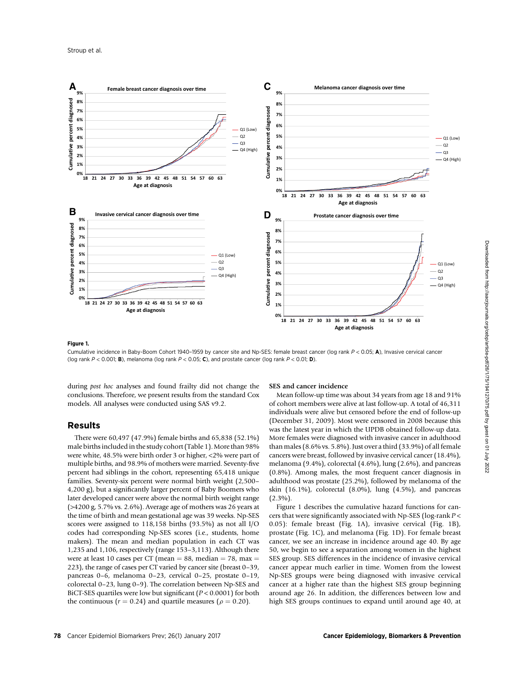

Figure 1.

Cumulative incidence in Baby-Boom Cohort 1940-1959 by cancer site and Np-SES: female breast cancer (log rank  $P < 0.05$ ; A), Invasive cervical cancer (log rank  $P < 0.001$ ; **B**), melanoma (log rank  $P < 0.05$ ; **C**), and prostate cancer (log rank  $P < 0.01$ ; **D**).

during post hoc analyses and found frailty did not change the conclusions. Therefore, we present results from the standard Cox models. All analyses were conducted using SAS v9.2.

## Results

There were 60,497 (47.9%) female births and 65,838 (52.1%) male births included in the study cohort (Table 1). More than 98% were white, 48.5% were birth order 3 or higher, <2% were part of multiple births, and 98.9% of mothers were married. Seventy-five percent had siblings in the cohort, representing 65,418 unique families. Seventy-six percent were normal birth weight (2,500– 4,200 g), but a significantly larger percent of Baby Boomers who later developed cancer were above the normal birth weight range (>4200 g, 5.7% vs. 2.6%). Average age of mothers was 26 years at the time of birth and mean gestational age was 39 weeks. Np-SES scores were assigned to 118,158 births (93.5%) as not all I/O codes had corresponding Np-SES scores (i.e., students, home makers). The mean and median population in each CT was 1,235 and 1,106, respectively (range 153–3,113). Although there were at least 10 cases per CT (mean  $= 88$ , median  $= 78$ , max  $=$ 223), the range of cases per CT varied by cancer site (breast 0–39, pancreas 0–6, melanoma 0–23, cervical 0–25, prostate 0–19, colorectal 0–23, lung 0–9). The correlation between Np-SES and BiCT-SES quartiles were low but significant ( $P < 0.0001$ ) for both the continuous ( $r = 0.24$ ) and quartile measures ( $\rho = 0.20$ ).

#### SES and cancer incidence

Mean follow-up time was about 34 years from age 18 and 91% of cohort members were alive at last follow-up. A total of 46,311 individuals were alive but censored before the end of follow-up (December 31, 2009). Most were censored in 2008 because this was the latest year in which the UPDB obtained follow-up data. More females were diagnosed with invasive cancer in adulthood than males (8.6% vs. 5.8%). Just over a third (33.9%) of all female cancers were breast, followed by invasive cervical cancer (18.4%), melanoma (9.4%), colorectal (4.6%), lung (2.6%), and pancreas (0.8%). Among males, the most frequent cancer diagnosis in adulthood was prostate (25.2%), followed by melanoma of the skin (16.1%), colorectal (8.0%), lung (4.5%), and pancreas  $(2.3\%)$ .

Figure 1 describes the cumulative hazard functions for cancers that were significantly associated with Np-SES (log-rank P < 0.05): female breast (Fig. 1A), invasive cervical (Fig. 1B), prostate (Fig. 1C), and melanoma (Fig. 1D). For female breast cancer, we see an increase in incidence around age 40. By age 50, we begin to see a separation among women in the highest SES group. SES differences in the incidence of invasive cervical cancer appear much earlier in time. Women from the lowest Np-SES groups were being diagnosed with invasive cervical cancer at a higher rate than the highest SES group beginning around age 26. In addition, the differences between low and high SES groups continues to expand until around age 40, at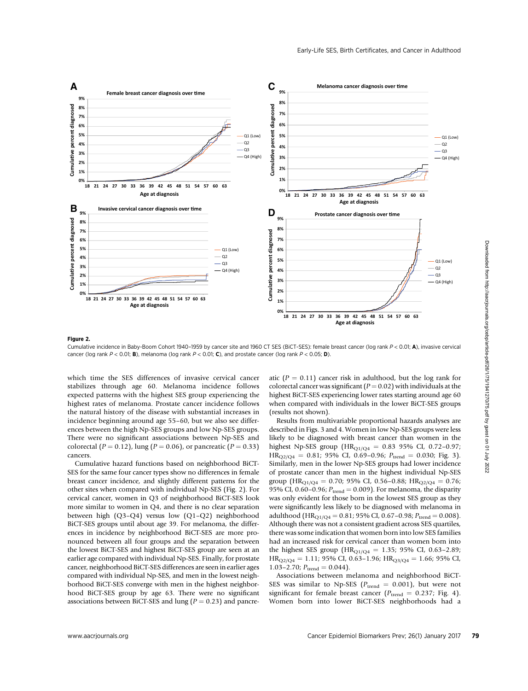

Figure 2.

Cumulative incidence in Baby-Boom Cohort 1940–1959 by cancer site and 1960 CT SES (BiCT-SES): female breast cancer (log rank P < 0.01; A), invasive cervical cancer (log rank  $P < 0.01$ ; B), melanoma (log rank  $P < 0.01$ ; C), and prostate cancer (log rank  $P < 0.05$ ; D).

which time the SES differences of invasive cervical cancer stabilizes through age 60. Melanoma incidence follows expected patterns with the highest SES group experiencing the highest rates of melanoma. Prostate cancer incidence follows the natural history of the disease with substantial increases in incidence beginning around age 55–60, but we also see differences between the high Np-SES groups and low Np-SES groups. There were no significant associations between Np-SES and colorectal  $(P = 0.12)$ , lung  $(P = 0.06)$ , or pancreatic  $(P = 0.33)$ cancers.

Cumulative hazard functions based on neighborhood BiCT-SES for the same four cancer types show no differences in female breast cancer incidence, and slightly different patterns for the other sites when compared with individual Np-SES (Fig. 2). For cervical cancer, women in Q3 of neighborhood BiCT-SES look more similar to women in Q4, and there is no clear separation between high (Q3–Q4) versus low (Q1–Q2) neighborhood BiCT-SES groups until about age 39. For melanoma, the differences in incidence by neighborhood BiCT-SES are more pronounced between all four groups and the separation between the lowest BiCT-SES and highest BiCT-SES group are seen at an earlier age compared with individual Np-SES. Finally, for prostate cancer, neighborhood BiCT-SES differences are seen in earlier ages compared with individual Np-SES, and men in the lowest neighborhood BiCT-SES converge with men in the highest neighborhood BiCT-SES group by age 63. There were no significant associations between BiCT-SES and lung ( $P = 0.23$ ) and pancreatic  $(P = 0.11)$  cancer risk in adulthood, but the log rank for colorectal cancer was significant ( $P = 0.02$ ) with individuals at the highest BiCT-SES experiencing lower rates starting around age 60 when compared with individuals in the lower BiCT-SES groups (results not shown).

Results from multivariable proportional hazards analyses are described in Figs. 3 and 4. Women in low Np-SES groups were less likely to be diagnosed with breast cancer than women in the highest Np-SES group ( $HR_{Q1/Q4} = 0.83$  95% CI, 0.72-0.97;  $HR_{Q2/Q4}$  = 0.81; 95% CI, 0.69-0.96;  $P_{trend}$  = 0.030; Fig. 3). Similarly, men in the lower Np-SES groups had lower incidence of prostate cancer than men in the highest individual Np-SES group (HR<sub>O1/O4</sub> = 0.70; 95% CI, 0.56–0.88; HR<sub>O2/O4</sub> = 0.76; 95% CI, 0.60–0.96;  $P_{\text{trend}} = 0.009$ ). For melanoma, the disparity was only evident for those born in the lowest SES group as they were significantly less likely to be diagnosed with melanoma in adulthood (HR<sub>O1/O4</sub> = 0.81; 95% CI, 0.67–0.98;  $P_{trend}$  = 0.008). Although there was not a consistent gradient across SES quartiles, there was some indication that women born into low SES families had an increased risk for cervical cancer than women born into the highest SES group ( $HR_{Q1/Q4}$  = 1.35; 95% CI, 0.63-2.89;  $HR_{Q2/Q4} = 1.11$ ; 95% CI, 0.63-1.96;  $HR_{Q3/Q4} = 1.66$ ; 95% CI, 1.03–2.70;  $P_{\text{trend}} = 0.044$ ).

Associations between melanoma and neighborhood BiCT-SES was similar to Np-SES ( $P_{\text{trend}} = 0.001$ ), but were not significant for female breast cancer ( $P_{\text{trend}} = 0.237$ ; Fig. 4). Women born into lower BiCT-SES neighborhoods had a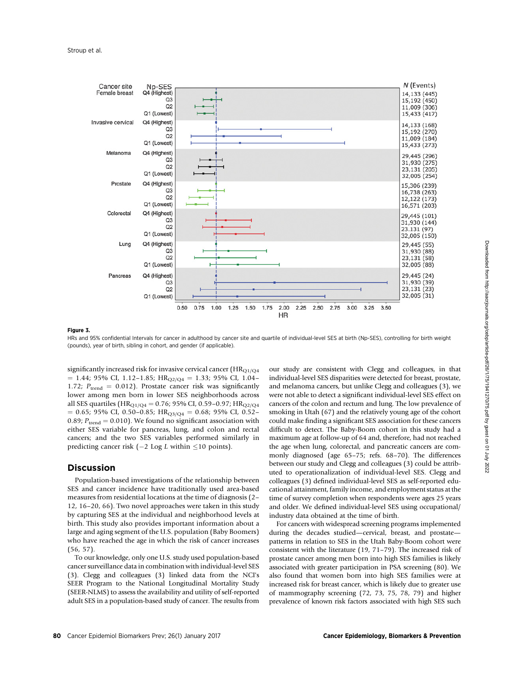

#### Figure 3.

HRs and 95% confidential Intervals for cancer in adulthood by cancer site and quartile of individual-level SES at birth (Np-SES), controlling for birth weight (pounds), year of birth, sibling in cohort, and gender (if applicable).

significantly increased risk for invasive cervical cancer ( $HR_{Q1/Q4}$  $= 1.44$ ; 95% CI, 1.12-1.85; HR<sub>Q2/Q4</sub>  $= 1.33$ ; 95% CI, 1.04-1.72;  $P_{\text{trend}} = 0.012$ ). Prostate cancer risk was significantly lower among men born in lower SES neighborhoods across all SES quartiles ( $HR_{Q1/Q4} = 0.76$ ; 95% CI, 0.59-0.97;  $HR_{Q2/Q4}$  $= 0.65$ ; 95% CI, 0.50–0.85; HR<sub>Q3/Q4</sub>  $= 0.68$ ; 95% CI, 0.52– 0.89;  $P_{\text{trend}} = 0.010$ ). We found no significant association with either SES variable for pancreas, lung, and colon and rectal cancers; and the two SES variables performed similarly in predicting cancer risk  $(-2 \text{ Log } L \text{ within } \leq 10 \text{ points}).$ 

## Discussion

Population-based investigations of the relationship between SES and cancer incidence have traditionally used area-based measures from residential locations at the time of diagnosis (2– 12, 16–20, 66). Two novel approaches were taken in this study by capturing SES at the individual and neighborhood levels at birth. This study also provides important information about a large and aging segment of the U.S. population (Baby Boomers) who have reached the age in which the risk of cancer increases (56, 57).

To our knowledge, only one U.S. study used population-based cancer surveillance data in combination with individual-level SES (3). Clegg and colleagues (3) linked data from the NCI's SEER Program to the National Longitudinal Mortality Study (SEER-NLMS) to assess the availability and utility of self-reported adult SES in a population-based study of cancer. The results from our study are consistent with Clegg and colleagues, in that individual-level SES disparities were detected for breast, prostate, and melanoma cancers, but unlike Clegg and colleagues (3), we were not able to detect a significant individual-level SES effect on cancers of the colon and rectum and lung. The low prevalence of smoking in Utah (67) and the relatively young age of the cohort could make finding a significant SES association for these cancers difficult to detect. The Baby-Boom cohort in this study had a maximum age at follow-up of 64 and, therefore, had not reached the age when lung, colorectal, and pancreatic cancers are commonly diagnosed (age 65–75; refs. 68–70). The differences between our study and Clegg and colleagues (3) could be attributed to operationalization of individual-level SES. Clegg and colleagues (3) defined individual-level SES as self-reported educational attainment, family income, and employment status at the time of survey completion when respondents were ages 25 years and older. We defined individual-level SES using occupational/ industry data obtained at the time of birth.

For cancers with widespread screening programs implemented during the decades studied—cervical, breast, and prostate patterns in relation to SES in the Utah Baby-Boom cohort were consistent with the literature (19, 71–79). The increased risk of prostate cancer among men born into high SES families is likely associated with greater participation in PSA screening (80). We also found that women born into high SES families were at increased risk for breast cancer, which is likely due to greater use of mammography screening (72, 73, 75, 78, 79) and higher prevalence of known risk factors associated with high SES such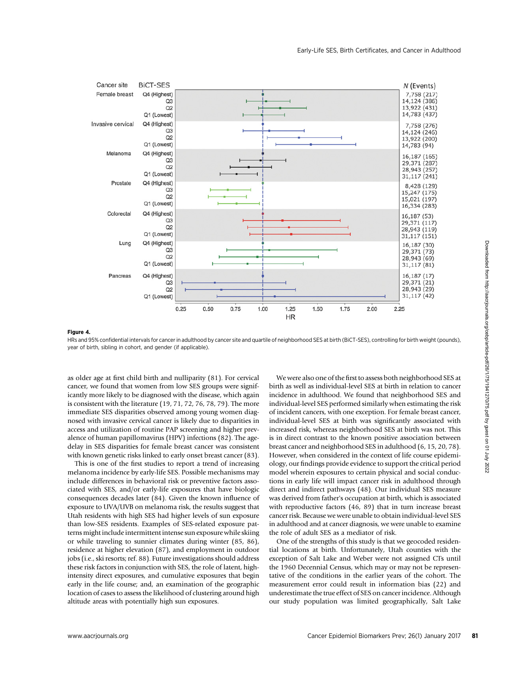

#### Figure 4.

HRs and 95% confidential intervals for cancer in adulthood by cancer site and quartile of neighborhood SES at birth (BiCT-SES), controlling for birth weight (pounds), year of birth, sibling in cohort, and gender (if applicable).

as older age at first child birth and nulliparity (81). For cervical cancer, we found that women from low SES groups were significantly more likely to be diagnosed with the disease, which again is consistent with the literature (19, 71, 72, 76, 78, 79). The more immediate SES disparities observed among young women diagnosed with invasive cervical cancer is likely due to disparities in access and utilization of routine PAP screening and higher prevalence of human papillomavirus (HPV) infections (82). The agedelay in SES disparities for female breast cancer was consistent with known genetic risks linked to early onset breast cancer (83).

This is one of the first studies to report a trend of increasing melanoma incidence by early-life SES. Possible mechanisms may include differences in behavioral risk or preventive factors associated with SES, and/or early-life exposures that have biologic consequences decades later (84). Given the known influence of exposure to UVA/UVB on melanoma risk, the results suggest that Utah residents with high SES had higher levels of sun exposure than low-SES residents. Examples of SES-related exposure patterns might include intermittent intense sun exposure while skiing or while traveling to sunnier climates during winter (85, 86), residence at higher elevation (87), and employment in outdoor jobs (i.e., ski resorts; ref. 88). Future investigations should address these risk factors in conjunction with SES, the role of latent, highintensity direct exposures, and cumulative exposures that begin early in the life course; and, an examination of the geographic location of cases to assess the likelihood of clustering around high altitude areas with potentially high sun exposures.

We were also one of the first to assess both neighborhood SES at birth as well as individual-level SES at birth in relation to cancer incidence in adulthood. We found that neighborhood SES and individual-level SES performed similarly when estimating the risk of incident cancers, with one exception. For female breast cancer, individual-level SES at birth was significantly associated with increased risk, whereas neighborhood SES at birth was not. This is in direct contrast to the known positive association between breast cancer and neighborhood SES in adulthood (6, 15, 20, 78). However, when considered in the context of life course epidemiology, our findings provide evidence to support the critical period model wherein exposures to certain physical and social conductions in early life will impact cancer risk in adulthood through direct and indirect pathways (48). Our individual SES measure was derived from father's occupation at birth, which is associated with reproductive factors (46, 89) that in turn increase breast cancer risk. Because we were unable to obtain individual-level SES in adulthood and at cancer diagnosis, we were unable to examine the role of adult SES as a mediator of risk.

One of the strengths of this study is that we geocoded residential locations at birth. Unfortunately, Utah counties with the exception of Salt Lake and Weber were not assigned CTs until the 1960 Decennial Census, which may or may not be representative of the conditions in the earlier years of the cohort. The measurement error could result in information bias (22) and underestimate the true effect of SES on cancer incidence. Although our study population was limited geographically, Salt Lake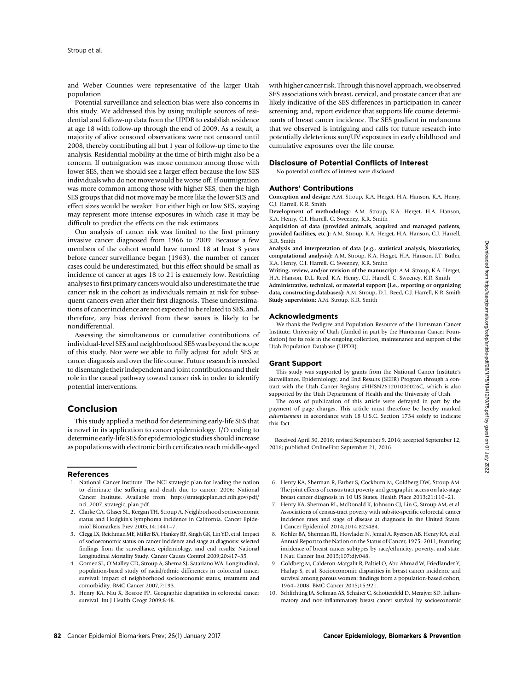and Weber Counties were representative of the larger Utah population.

Potential surveillance and selection bias were also concerns in this study. We addressed this by using multiple sources of residential and follow-up data from the UPDB to establish residence at age 18 with follow-up through the end of 2009. As a result, a majority of alive censored observations were not censored until 2008, thereby contributing all but 1 year of follow-up time to the analysis. Residential mobility at the time of birth might also be a concern. If outmigration was more common among those with lower SES, then we should see a larger effect because the low SES individuals who do not move would be worse off. If outmigration was more common among those with higher SES, then the high SES groups that did not move may be more like the lower SES and effect sizes would be weaker. For either high or low SES, staying may represent more intense exposures in which case it may be difficult to predict the effects on the risk estimates.

Our analysis of cancer risk was limited to the first primary invasive cancer diagnosed from 1966 to 2009. Because a few members of the cohort would have turned 18 at least 3 years before cancer surveillance began (1963), the number of cancer cases could be underestimated, but this effect should be small as incidence of cancer at ages 18 to 21 is extremely low. Restricting analyses to first primary cancers would also underestimate the true cancer risk in the cohort as individuals remain at risk for subsequent cancers even after their first diagnosis. These underestimations of cancer incidence are not expected to be related to SES, and, therefore, any bias derived from these issues is likely to be nondifferential.

Assessing the simultaneous or cumulative contributions of individual-level SES and neighborhood SES was beyond the scope of this study. Nor were we able to fully adjust for adult SES at cancer diagnosis and over the life course. Future research is needed to disentangle their independent and joint contributions and their role in the causal pathway toward cancer risk in order to identify potential interventions.

# Conclusion

This study applied a method for determining early-life SES that is novel in its application to cancer epidemiology. I/O coding to determine early-life SES for epidemiologic studies should increase as populations with electronic birth certificates reach middle-aged

## References

- 1. National Cancer Institute. The NCI strategic plan for leading the nation to eliminate the suffering and death due to cancer; 2006: National Cancer Institute. Available from: http://strategicplan.nci.nih.gov/pdf/ nci\_2007\_strategic\_plan.pdf.
- 2. Clarke CA, Glaser SL, Keegan TH, Stroup A. Neighborhood socioeconomic status and Hodgkin's lymphoma incidence in California. Cancer Epidemiol Biomarkers Prev 2005;14:1441–7.
- 3. Clegg LX, ReichmanME, Miller BA, Hankey BF, Singh GK, Lin YD, et al. Impact of socioeconomic status on cancer incidence and stage at diagnosis: selected findings from the surveillance, epidemiology, and end results: National Longitudinal Mortality Study. Cancer Causes Control 2009;20:417–35.
- 4. Gomez SL, O'Malley CD, Stroup A, Shema SJ, Satariano WA. Longitudinal, population-based study of racial/ethnic differences in colorectal cancer survival: impact of neighborhood socioeconomic status, treatment and comorbidity. BMC Cancer 2007;7:193.
- 5. Henry KA, Niu X, Boscoe FP. Geographic disparities in colorectal cancer survival. Int J Health Geogr 2009;8:48.

with higher cancer risk. Through this novel approach, we observed SES associations with breast, cervical, and prostate cancer that are likely indicative of the SES differences in participation in cancer screening; and, report evidence that supports life course determinants of breast cancer incidence. The SES gradient in melanoma that we observed is intriguing and calls for future research into potentially deleterious sun/UV exposures in early childhood and cumulative exposures over the life course.

#### Disclosure of Potential Conflicts of Interest

No potential conflicts of interest were disclosed.

## Authors' Contributions

Conception and design: A.M. Stroup, K.A. Herget, H.A. Hanson, K.A. Henry, C.J. Harrell, K.R. Smith

Development of methodology: A.M. Stroup, K.A. Herget, H.A. Hanson, K.A. Henry, C.J. Harrell, C. Sweeney, K.R. Smith

Acquisition of data (provided animals, acquired and managed patients, provided facilities, etc.): A.M. Stroup, K.A. Herget, H.A. Hanson, C.J. Harrell, K.R. Smith

Analysis and interpretation of data (e.g., statistical analysis, biostatistics, computational analysis): A.M. Stroup, K.A. Herget, H.A. Hanson, J.T. Butler, K.A. Henry, C.J. Harrell, C. Sweeney, K.R. Smith

Writing, review, and/or revision of the manuscript: A.M. Stroup, K.A. Herget, H.A. Hanson, D.L. Reed, K.A. Henry, C.J. Harrell, C. Sweeney, K.R. Smith

Administrative, technical, or material support (i.e., reporting or organizing data, constructing databases): A.M. Stroup, D.L. Reed, C.J. Harrell, K.R. Smith Study supervision: A.M. Stroup, K.R. Smith

#### Acknowledgments

We thank the Pedigree and Population Resource of the Huntsman Cancer Institute, University of Utah (funded in part by the Huntsman Cancer Foundation) for its role in the ongoing collection, maintenance and support of the Utah Population Database (UPDB).

#### Grant Support

This study was supported by grants from the National Cancer Institute's Surveillance, Epidemiology, and End Results (SEER) Program through a contract with the Utah Cancer Registry #HHSN261201000026C, which is also supported by the Utah Department of Health and the University of Utah.

The costs of publication of this article were defrayed in part by the payment of page charges. This article must therefore be hereby marked advertisement in accordance with 18 U.S.C. Section 1734 solely to indicate this fact.

Received April 30, 2016; revised September 9, 2016; accepted September 12, 2016; published OnlineFirst September 21, 2016.

- 6. Henry KA, Sherman R, Farber S, Cockburn M, Goldberg DW, Stroup AM. The joint effects of census tract poverty and geographic access on late-stage breast cancer diagnosis in 10 US States. Health Place 2013;21:110–21.
- 7. Henry KA, Sherman RL, McDonald K, Johnson CJ, Lin G, Stroup AM, et al. Associations of census-tract poverty with subsite-specific colorectal cancer incidence rates and stage of disease at diagnosis in the United States. J Cancer Epidemiol 2014;2014:823484.
- 8. Kohler BA, Sherman RL, Howlader N, Jemal A, Ryerson AB, Henry KA, et al. Annual Report to the Nation on the Status of Cancer, 1975–2011, featuring incidence of breast cancer subtypes by race/ethnicity, poverty, and state. J Natl Cancer Inst 2015;107:djv048.
- 9. Goldberg M, Calderon-Margalit R, Paltiel O, Abu Ahmad W, Friedlander Y, Harlap S, et al. Socioeconomic disparities in breast cancer incidence and survival among parous women: findings from a population-based cohort, 1964–2008. BMC Cancer 2015;15:921.
- 10. Schlichting JA, Soliman AS, Schairer C, Schottenfeld D, Merajver SD. Inflammatory and non-inflammatory breast cancer survival by socioeconomic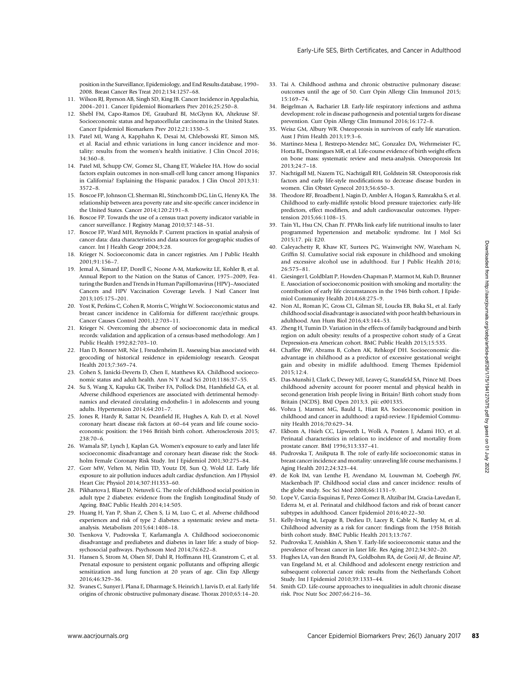position in the Surveillance, Epidemiology, and End Results database, 1990– 2008. Breast Cancer Res Treat 2012;134:1257–68.

- 11. Wilson RJ, Ryerson AB, Singh SD, King JB. Cancer Incidence in Appalachia, 2004–2011. Cancer Epidemiol Biomarkers Prev 2016;25:250–8.
- 12. Shebl FM, Capo-Ramos DE, Graubard BI, McGlynn KA, Altekruse SF. Socioeconomic status and hepatocellular carcinoma in the United States. Cancer Epidemiol Biomarkers Prev 2012;21:1330–5.
- 13. Patel MI, Wang A, Kapphahn K, Desai M, Chlebowski RT, Simon MS, et al. Racial and ethnic variations in lung cancer incidence and mortality: results from the women's health initiative. J Clin Oncol 2016; 34:360–8.
- 14. Patel MI, Schupp CW, Gomez SL, Chang ET, Wakelee HA. How do social factors explain outcomes in non-small-cell lung cancer among Hispanics in California? Explaining the Hispanic paradox. J Clin Oncol 2013;31: 3572–8.
- 15. Boscoe FP, Johnson CJ, Sherman RL, Stinchcomb DG, Lin G, Henry KA. The relationship between area poverty rate and site-specific cancer incidence in the United States. Cancer 2014;120:2191–8.
- 16. Boscoe FP. Towards the use of a census tract poverty indicator variable in cancer surveillance. J Registry Manag 2010;37:148–51.
- 17. Boscoe FP, Ward MH, Reynolds P. Current practices in spatial analysis of cancer data: data characteristics and data sources for geographic studies of cancer. Int J Health Geogr 2004;3:28.
- 18. Krieger N. Socioeconomic data in cancer registries. Am J Public Health 2001;91:156–7.
- 19. Jemal A, Simard EP, Dorell C, Noone A-M, Markowitz LE, Kohler B, et al. Annual Report to the Nation on the Status of Cancer, 1975–2009, Featuring the Burden and Trends in Human Papillomavirus (HPV)–Associated Cancers and HPV Vaccination Coverage Levels. J Natl Cancer Inst 2013;105:175–201.
- 20. Yost K, Perkins C, Cohen R, Morris C, Wright W. Socioeconomic status and breast cancer incidence in California for different race/ethnic groups. Cancer Causes Control 2001;12:703–11.
- 21. Krieger N. Overcoming the absence of socioeconomic data in medical records: validation and application of a census-based methodology. Am J Public Health 1992;82:703–10.
- 22. Han D, Bonner MR, Nie J, Freudenheim JL. Assessing bias associated with geocoding of historical residence in epidemiology research. Geospat Health 2013;7:369–74.
- 23. Cohen S, Janicki-Deverts D, Chen E, Matthews KA. Childhood socioeconomic status and adult health. Ann N Y Acad Sci 2010;1186:37–55.
- 24. Su S, Wang X, Kapuku GK, Treiber FA, Pollock DM, Harshfield GA, et al. Adverse childhood experiences are associated with detrimental hemodynamics and elevated circulating endothelin-1 in adolescents and young adults. Hypertension 2014;64:201–7.
- 25. Jones R, Hardy R, Sattar N, Deanfield JE, Hughes A, Kuh D, et al. Novel coronary heart disease risk factors at 60–64 years and life course socioeconomic position: the 1946 British birth cohort. Atherosclerosis 2015; 238:70–6.
- 26. Wamala SP, Lynch J, Kaplan GA. Women's exposure to early and later life socioeconomic disadvantage and coronary heart disease risk: the Stockholm Female Coronary Risk Study. Int J Epidemiol 2001;30:275–84.
- 27. Gorr MW, Velten M, Nelin TD, Youtz DJ, Sun Q, Wold LE. Early life exposure to air pollution induces adult cardiac dysfunction. Am J Physiol Heart Circ Physiol 2014;307:H1353–60.
- 28. Pikhartova J, Blane D, Netuveli G. The role of childhood social position in adult type 2 diabetes: evidence from the English Longitudinal Study of Ageing. BMC Public Health 2014;14:505.
- 29. Huang H, Yan P, Shan Z, Chen S, Li M, Luo C, et al. Adverse childhood experiences and risk of type 2 diabetes: a systematic review and metaanalysis. Metabolism 2015;64:1408–18.
- 30. Tsenkova V, Pudrovska T, Karlamangla A. Childhood socioeconomic disadvantage and prediabetes and diabetes in later life: a study of biopsychosocial pathways. Psychosom Med 2014;76:622–8.
- 31. Hansen S, Strom M, Olsen SF, Dahl R, Hoffmann HJ, Granstrom C, et al. Prenatal exposure to persistent organic pollutants and offspring allergic sensitization and lung function at 20 years of age. Clin Exp Allergy 2016;46:329–36.
- 32. Svanes C, Sunyer J, Plana E, Dharmage S, Heinrich J, Jarvis D, et al. Early life origins of chronic obstructive pulmonary disease. Thorax 2010;65:14–20.
- 33. Tai A. Childhood asthma and chronic obstructive pulmonary disease: outcomes until the age of 50. Curr Opin Allergy Clin Immunol 2015; 15:169–74.
- 34. Beigelman A, Bacharier LB. Early-life respiratory infections and asthma development: role in disease pathogenesis and potential targets for disease prevention. Curr Opin Allergy Clin Immunol 2016;16:172–8.
- 35. Weisz GM, Albury WR. Osteoporosis in survivors of early life starvation. Aust J Prim Health 2013;19:3–6.
- 36. Martinez-Mesa J, Restrepo-Mendez MC, Gonzalez DA, Wehrmeister FC, Horta BL, Domingues MR, et al. Life-course evidence of birth weight effects on bone mass: systematic review and meta-analysis. Osteoporosis Int 2013;24:7–18.
- 37. Nachtigall MJ, Nazem TG, Nachtigall RH, Goldstein SR. Osteoporosis risk factors and early life-style modifications to decrease disease burden in women. Clin Obstet Gynecol 2013;56:650–3.
- 38. Theodore RF, Broadbent J, Nagin D, Ambler A, Hogan S, Ramrakha S, et al. Childhood to early-midlife systolic blood pressure trajectories: early-life predictors, effect modifiers, and adult cardiovascular outcomes. Hypertension 2015;66:1108–15.
- 39. Tain YL, Hsu CN, Chan JY. PPARs link early life nutritional insults to later programmed hypertension and metabolic syndrome. Int J Mol Sci 2015;17. pii: E20.
- 40. Caleyachetty R, Khaw KT, Surtees PG, Wainwright NW, Wareham N, Griffin SJ. Cumulative social risk exposure in childhood and smoking and excessive alcohol use in adulthood. Eur J Public Health 2016; 26:575–81.
- 41. Giesinger I, Goldblatt P, Howden-Chapman P, Marmot M, Kuh D, Brunner E. Association of socioeconomic position with smoking and mortality: the contribution of early life circumstances in the 1946 birth cohort. J Epidemiol Community Health 2014;68:275–9.
- 42. Non AL, Roman JC, Gross CL, Gilman SE, Loucks EB, Buka SL, et al. Early childhood social disadvantage is associated with poor health behaviours in adulthood. Ann Hum Biol 2016;43:144–53.
- 43. Zheng H, Tumin D. Variation in the effects of family background and birth region on adult obesity: results of a prospective cohort study of a Great Depression-era American cohort. BMC Public Health 2015;15:535.
- 44. Chaffee BW, Abrams B, Cohen AK, Rehkopf DH. Socioeconomic disadvantage in childhood as a predictor of excessive gestational weight gain and obesity in midlife adulthood. Emerg Themes Epidemiol 2015;12:4.
- 45. Das-Munshi J, Clark C, Dewey ME, Leavey G, Stansfeld SA, Prince MJ. Does childhood adversity account for poorer mental and physical health in second-generation Irish people living in Britain? Birth cohort study from Britain (NCDS). BMJ Open 2013;3. pii: e001335.
- 46. Vohra J, Marmot MG, Bauld L, Hiatt RA. Socioeconomic position in childhood and cancer in adulthood: a rapid-review. J Epidemiol Community Health 2016;70:629–34.
- 47. Ekbom A, Hsieh CC, Lipworth L, Wolk A, Ponten J, Adami HO, et al. Perinatal characteristics in relation to incidence of and mortality from prostate cancer. BMJ 1996;313:337–41.
- 48. Pudrovska T, Anikputa B. The role of early-life socioeconomic status in breast cancer incidence and mortality: unraveling life course mechanisms. J Aging Health 2012;24:323–44.
- 49. de Kok IM, van Lenthe FJ, Avendano M, Louwman M, Coebergh JW, Mackenbach JP. Childhood social class and cancer incidence: results of the globe study. Soc Sci Med 2008;66:1131–9.
- 50. Lope V, Garcia-Esquinas E, Perez-Gomez B, Altzibar JM, Gracia-Lavedan E, Ederra M, et al. Perinatal and childhood factors and risk of breast cancer subtypes in adulthood. Cancer Epidemiol 2016;40:22–30.
- 51. Kelly-Irving M, Lepage B, Dedieu D, Lacey R, Cable N, Bartley M, et al. Childhood adversity as a risk for cancer: findings from the 1958 British birth cohort study. BMC Public Health 2013;13:767.
- 52. Pudrovska T, Anishkin A, Shen Y. Early-life socioeconomic status and the prevalence of breast cancer in later life. Res Aging 2012;34:302–20.
- 53. Hughes LA, van den Brandt PA, Goldbohm RA, de Goeij AF, de Bruine AP, van Engeland M, et al. Childhood and adolescent energy restriction and subsequent colorectal cancer risk: results from the Netherlands Cohort Study. Int J Epidemiol 2010;39:1333–44.
- 54. Smith GD. Life-course approaches to inequalities in adult chronic disease risk. Proc Nutr Soc 2007;66:216–36.